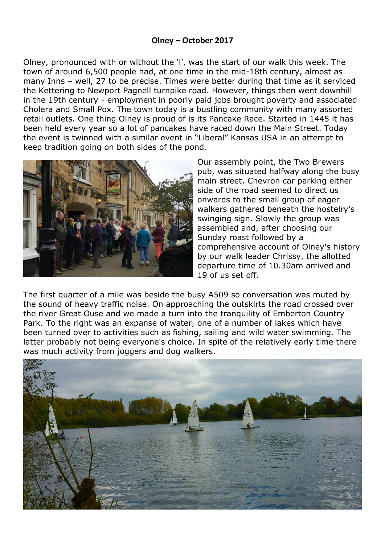## **Olney – October 2017**

Olney, pronounced with or without the 'l', was the start of our walk this week. The town of around 6,500 people had, at one time in the mid-18th century, almost as many Inns – well, 27 to be precise. Times were better during that time as it serviced the Kettering to Newport Pagnell turnpike road. However, things then went downhill in the 19th century - employment in poorly paid jobs brought poverty and associated Cholera and Small Pox. The town today is a bustling community with many assorted retail outlets. One thing Olney is proud of is its Pancake Race. Started in 1445 it has been held every year so a lot of pancakes have raced down the Main Street. Today the event is twinned with a similar event in "Liberal" Kansas USA in an attempt to keep tradition going on both sides of the pond.



Our assembly point, the Two Brewers pub, was situated halfway along the busy main street. Chevron car parking either side of the road seemed to direct us onwards to the small group of eager walkers gathered beneath the hostelry's swinging sign. Slowly the group was assembled and, after choosing our Sunday roast followed by a comprehensive account of Olney's history by our walk leader Chrissy, the allotted departure time of 10.30am arrived and 19 of us set off.

The first quarter of a mile was beside the busy A509 so conversation was muted by the sound of heavy traffic noise. On approaching the outskirts the road crossed over the river Great Ouse and we made a turn into the tranquility of Emberton Country Park. To the right was an expanse of water, one of a number of lakes which have been turned over to activities such as fishing, sailing and wild water swimming. The latter probably not being everyone's choice. In spite of the relatively early time there was much activity from joggers and dog walkers.

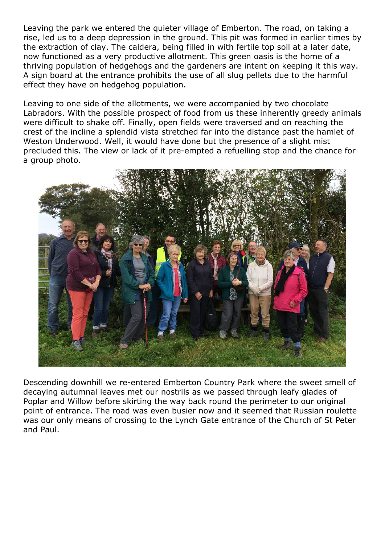Leaving the park we entered the quieter village of Emberton. The road, on taking a rise, led us to a deep depression in the ground. This pit was formed in earlier times by the extraction of clay. The caldera, being filled in with fertile top soil at a later date, now functioned as a very productive allotment. This green oasis is the home of a thriving population of hedgehogs and the gardeners are intent on keeping it this way. A sign board at the entrance prohibits the use of all slug pellets due to the harmful effect they have on hedgehog population.

Leaving to one side of the allotments, we were accompanied by two chocolate Labradors. With the possible prospect of food from us these inherently greedy animals were difficult to shake off. Finally, open fields were traversed and on reaching the crest of the incline a splendid vista stretched far into the distance past the hamlet of Weston Underwood. Well, it would have done but the presence of a slight mist precluded this. The view or lack of it pre-empted a refuelling stop and the chance for a group photo.



Descending downhill we re-entered Emberton Country Park where the sweet smell of decaying autumnal leaves met our nostrils as we passed through leafy glades of Poplar and Willow before skirting the way back round the perimeter to our original point of entrance. The road was even busier now and it seemed that Russian roulette was our only means of crossing to the Lynch Gate entrance of the Church of St Peter and Paul.